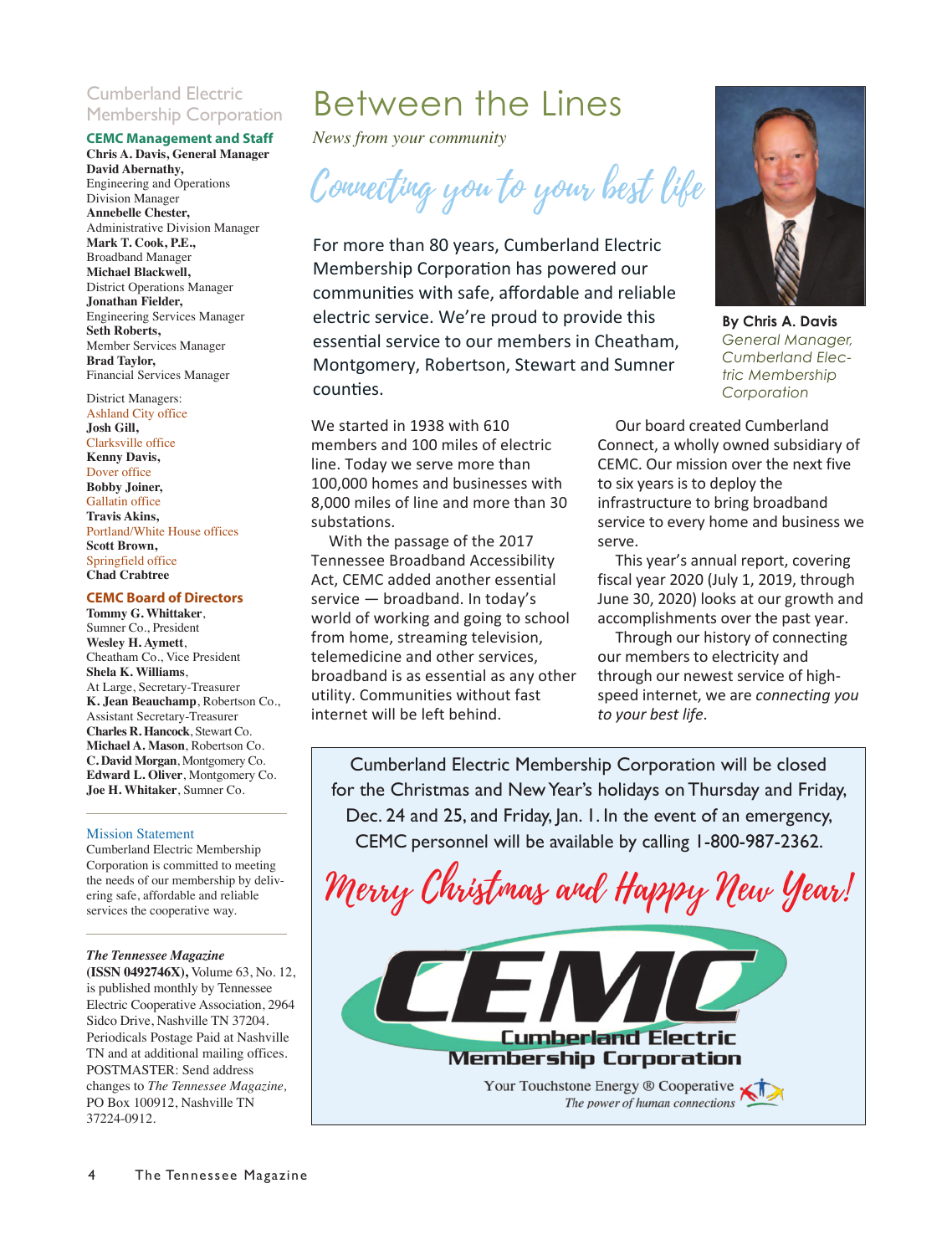#### Cumberland Electric Membership Corporation

#### **CEMC Management and Staff**

**Chris A. Davis, General Manager David Abernathy,** Engineering and Operations Division Manager **Annebelle Chester,** Administrative Division Manager **Mark T. Cook, P.E.,** Broadband Manager **Michael Blackwell,** District Operations Manager **Jonathan Fielder,**  Engineering Services Manager **Seth Roberts,** Member Services Manager **Brad Taylor,**  Financial Services Manager

#### District Managers:

Ashland City office **Josh Gill,** Clarksville office **Kenny Davis,**  Dover office **Bobby Joiner,**  Gallatin office **Travis Akins,** Portland/White House offices **Scott Brown,**  Springfield office **Chad Crabtree**

#### **CEMC Board of Directors**

**Tommy G. Whittaker**, Sumner Co., President **Wesley H. Aymett**, Cheatham Co., Vice President **Shela K. Williams**, At Large, Secretary-Treasurer **K. Jean Beauchamp**, Robertson Co., Assistant Secretary-Treasurer **Charles R. Hancock**, Stewart Co. **Michael A. Mason**, Robertson Co. **C. David Morgan**, Montgomery Co. **Edward L. Oliver**, Montgomery Co. **Joe H. Whitaker**, Sumner Co.

#### Mission Statement

Cumberland Electric Membership Corporation is committed to meeting the needs of our membership by delivering safe, affordable and reliable services the cooperative way.

#### *The Tennessee Magazine*

**(ISSN 0492746X),** Volume 63, No. 12, is published monthly by Tennessee Electric Cooperative Association, 2964 Sidco Drive, Nashville TN 37204. Periodicals Postage Paid at Nashville TN and at additional mailing offices. POSTMASTER: Send address changes to *The Tennessee Magazine,* PO Box 100912, Nashville TN 37224-0912.

## Between the Lines

*News from your community*

Connecting you to your best life

For more than 80 years, Cumberland Electric Membership Corporation has powered our communities with safe, affordable and reliable electric service. We're proud to provide this essential service to our members in Cheatham, Montgomery, Robertson, Stewart and Sumner counties.

We started in 1938 with 610 members and 100 miles of electric line. Today we serve more than 100,000 homes and businesses with 8,000 miles of line and more than 30 substations.

With the passage of the 2017 Tennessee Broadband Accessibility Act, CEMC added another essential service — broadband. In today's world of working and going to school from home, streaming television, telemedicine and other services, broadband is as essential as any other utility. Communities without fast internet will be left behind.



**By Chris A. Davis** *General Manager, Cumberland Electric Membership Corporation*

Our board created Cumberland Connect, a wholly owned subsidiary of CEMC. Our mission over the next five to six years is to deploy the infrastructure to bring broadband service to every home and business we serve.

This year's annual report, covering fiscal year 2020 (July 1, 2019, through June 30, 2020) looks at our growth and accomplishments over the past year.

Through our history of connecting our members to electricity and through our newest service of high‐ speed internet, we are *connecting you to your best life*.

Cumberland Electric Membership Corporation will be closed for the Christmas and New Year's holidays on Thursday and Friday, Dec. 24 and 25, and Friday, Jan. 1. In the event of an emergency, CEMC personnel will be available by calling 1-800-987-2362.

Merry Christmas and Happy New Year!

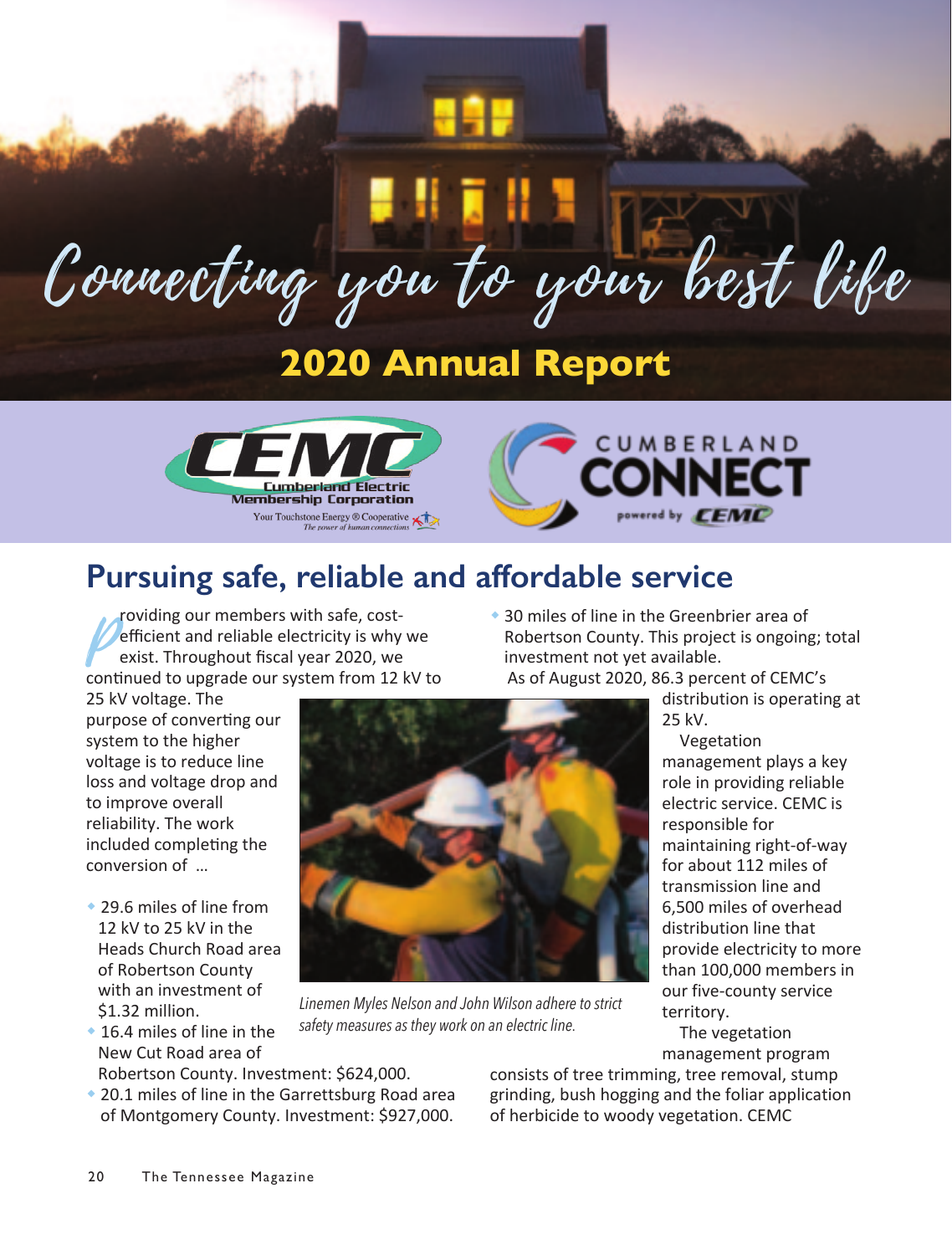# Connecting you to your best life

## **2020 Annual Report**





## **Pursuing safe, reliable and affordable service**

**Efficient and reliable electricity is why we<br>exist. Throughout fiscal year 2020, we<br>continued to upgrade our system from 12 kV to** roviding our members with safe, cost‐ efficient and reliable electricity is why we exist. Throughout fiscal year 2020, we

25 kV voltage. The purpose of converting our system to the higher

voltage is to reduce line loss and voltage drop and to improve overall reliability. The work included completing the conversion of …

- ◆ 29.6 miles of line from 12 kV to 25 kV in the Heads Church Road area of Robertson County with an investment of \$1.32 million.
- $*$  16.4 miles of line in the New Cut Road area of





*Linemen Myles Nelson and John Wilson adhere to strict safety measures as they work on an electric line.*

distribution is operating at 25 kV.

Vegetation management plays a key role in providing reliable electric service. CEMC is responsible for maintaining right‐of‐way for about 112 miles of transmission line and 6,500 miles of overhead distribution line that provide electricity to more than 100,000 members in our five‐county service territory.

The vegetation management program

Robertson County. Investment: \$624,000.

◆ 20.1 miles of line in the Garrettsburg Road area of Montgomery County. Investment: \$927,000. consists of tree trimming, tree removal, stump grinding, bush hogging and the foliar application of herbicide to woody vegetation. CEMC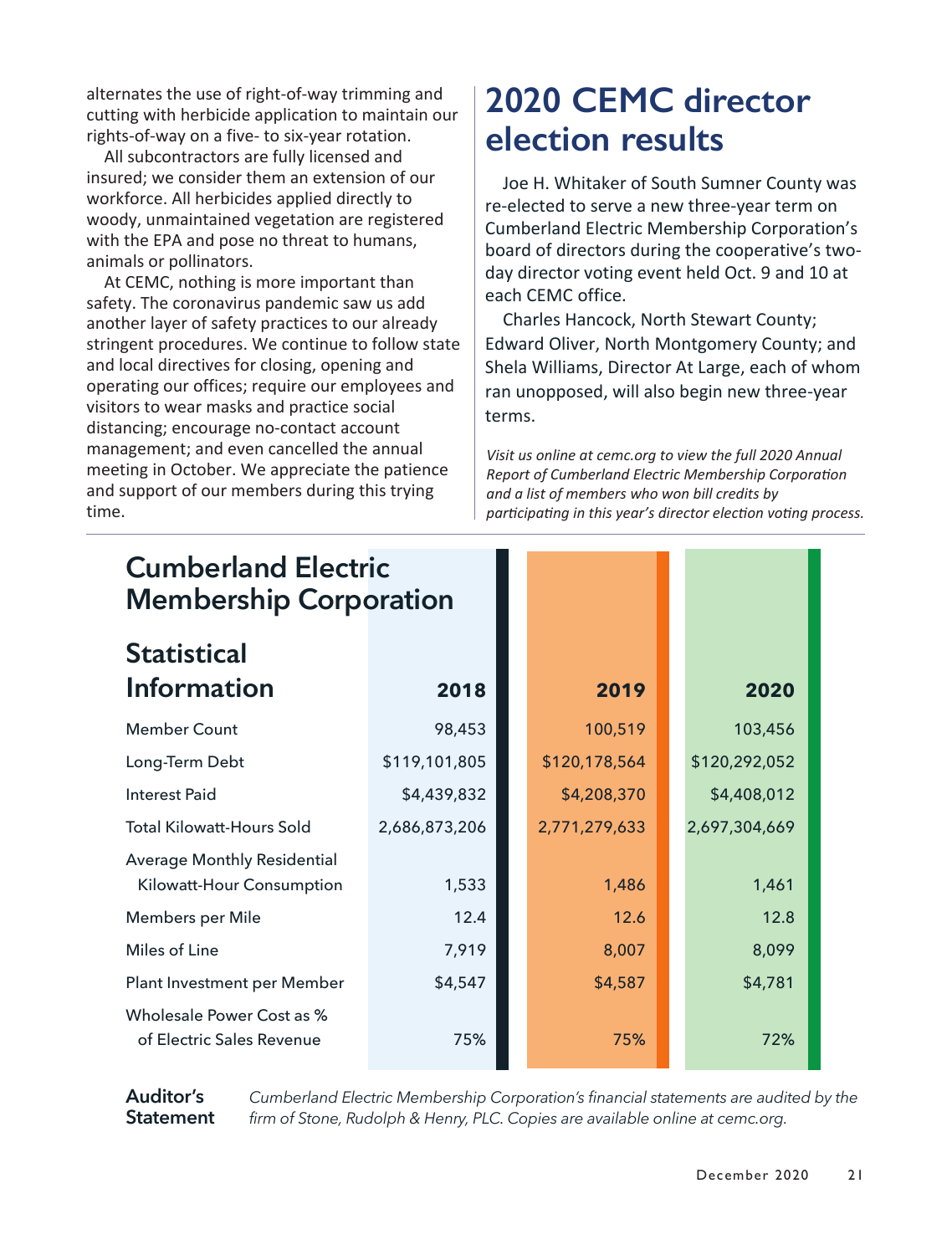alternates the use of right‐of‐way trimming and cutting with herbicide application to maintain our rights‐of‐way on a five‐ to six‐year rotation.

All subcontractors are fully licensed and insured; we consider them an extension of our workforce. All herbicides applied directly to woody, unmaintained vegetation are registered with the EPA and pose no threat to humans, animals or pollinators.

At CEMC, nothing is more important than safety. The coronavirus pandemic saw us add another layer of safety practices to our already stringent procedures. We continue to follow state and local directives for closing, opening and operating our offices; require our employees and visitors to wear masks and practice social distancing; encourage no‐contact account management; and even cancelled the annual meeting in October. We appreciate the patience and support of our members during this trying time.

## **2020 CEMC director election results**

Joe H. Whitaker of South Sumner County was re‐elected to serve a new three‐year term on Cumberland Electric Membership Corporation's board of directors during the cooperative's two‐ day director voting event held Oct. 9 and 10 at each CEMC office.

Charles Hancock, North Stewart County; Edward Oliver, North Montgomery County; and Shela Williams, Director At Large, each of whom ran unopposed, will also begin new three‐year terms.

*Visit us online at cemc.org to view the full 2020 Annual Report of Cumberland Electric Membership Corporation and a list of members who won bill credits by participating in this year's director election voting process.* 

| <b>Cumberland Electric</b><br><b>Membership Corporation</b>     |               |               |               |
|-----------------------------------------------------------------|---------------|---------------|---------------|
| <b>Statistical</b><br>Information                               | 2018          | 2019          | 2020          |
| <b>Member Count</b>                                             | 98,453        | 100,519       | 103,456       |
| Long-Term Debt                                                  | \$119,101,805 | \$120,178,564 | \$120,292,052 |
| Interest Paid                                                   | \$4,439,832   | \$4,208,370   | \$4,408,012   |
| <b>Total Kilowatt-Hours Sold</b>                                | 2,686,873,206 | 2,771,279,633 | 2,697,304,669 |
| <b>Average Monthly Residential</b><br>Kilowatt-Hour Consumption | 1,533         | 1,486         | 1,461         |
| Members per Mile                                                | 12.4          | 12.6          | 12.8          |
| Miles of Line                                                   | 7,919         | 8,007         | 8,099         |
| Plant Investment per Member                                     | \$4,547       | \$4,587       | \$4,781       |
| Wholesale Power Cost as %<br>of Electric Sales Revenue          | 75%           | 75%           | 72%           |

**Auditor's Statement**

*Cumberland Electric Membership Corporation's financial statements are audited by the firm of Stone, Rudolph & Henry, PLC. Copies are available online at cemc.org.*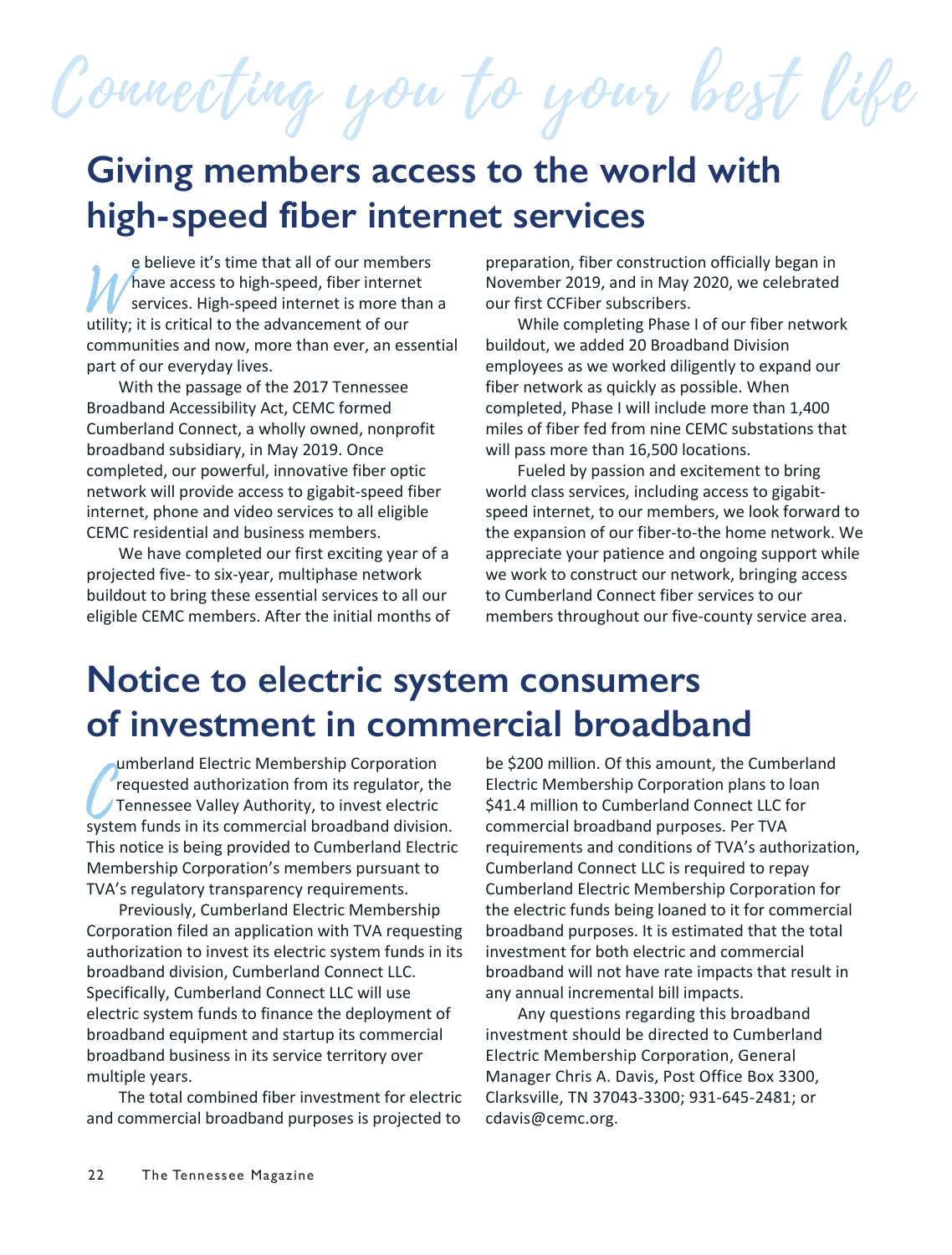Connecting you to your best life

## **Giving members access to the world with high-speed fiber internet services**

e believe it's time that all of our members<br>
Mave access to high-speed, fiber internet<br>
services. High-speed internet is more than<br>
utility; it is critical to the advancement of our have access to high‐speed, fiber internet services. High‐speed internet is more than a utility; it is critical to the advancement of our communities and now, more than ever, an essential part of our everyday lives.

With the passage of the 2017 Tennessee Broadband Accessibility Act, CEMC formed Cumberland Connect, a wholly owned, nonprofit broadband subsidiary, in May 2019. Once completed, our powerful, innovative fiber optic network will provide access to gigabit‐speed fiber internet, phone and video services to all eligible CEMC residential and business members.

We have completed our first exciting year of a projected five‐ to six‐year, multiphase network buildout to bring these essential services to all our eligible CEMC members. After the initial months of preparation, fiber construction officially began in November 2019, and in May 2020, we celebrated our first CCFiber subscribers.

While completing Phase I of our fiber network buildout, we added 20 Broadband Division employees as we worked diligently to expand our fiber network as quickly as possible. When completed, Phase I will include more than 1,400 miles of fiber fed from nine CEMC substations that will pass more than 16,500 locations.

Fueled by passion and excitement to bring world class services, including access to gigabit‐ speed internet, to our members, we look forward to the expansion of our fiber‐to‐the home network. We appreciate your patience and ongoing support while we work to construct our network, bringing access to Cumberland Connect fiber services to our members throughout our five-county service area.

## **Notice to electric system consumers of investment in commercial broadband**

requested authorization from its regulator, the<br>Tennessee Valley Authority, to invest electric<br>system funds in its commercial broadband division. umberland Electric Membership Corporation requested authorization from its regulator, the Tennessee Valley Authority, to invest electric This notice is being provided to Cumberland Electric Membership Corporation's members pursuant to TVA's regulatory transparency requirements.

Previously, Cumberland Electric Membership Corporation filed an application with TVA requesting authorization to invest its electric system funds in its broadband division, Cumberland Connect LLC. Specifically, Cumberland Connect LLC will use electric system funds to finance the deployment of broadband equipment and startup its commercial broadband business in its service territory over multiple years.

The total combined fiber investment for electric and commercial broadband purposes is projected to

be \$200 million. Of this amount, the Cumberland Electric Membership Corporation plans to loan \$41.4 million to Cumberland Connect LLC for commercial broadband purposes. Per TVA requirements and conditions of TVA's authorization, Cumberland Connect LLC is required to repay Cumberland Electric Membership Corporation for the electric funds being loaned to it for commercial broadband purposes. It is estimated that the total investment for both electric and commercial broadband will not have rate impacts that result in any annual incremental bill impacts.

Any questions regarding this broadband investment should be directed to Cumberland Electric Membership Corporation, General Manager Chris A. Davis, Post Office Box 3300, Clarksville, TN 37043‐3300; 931‐645‐2481; or cdavis@cemc.org.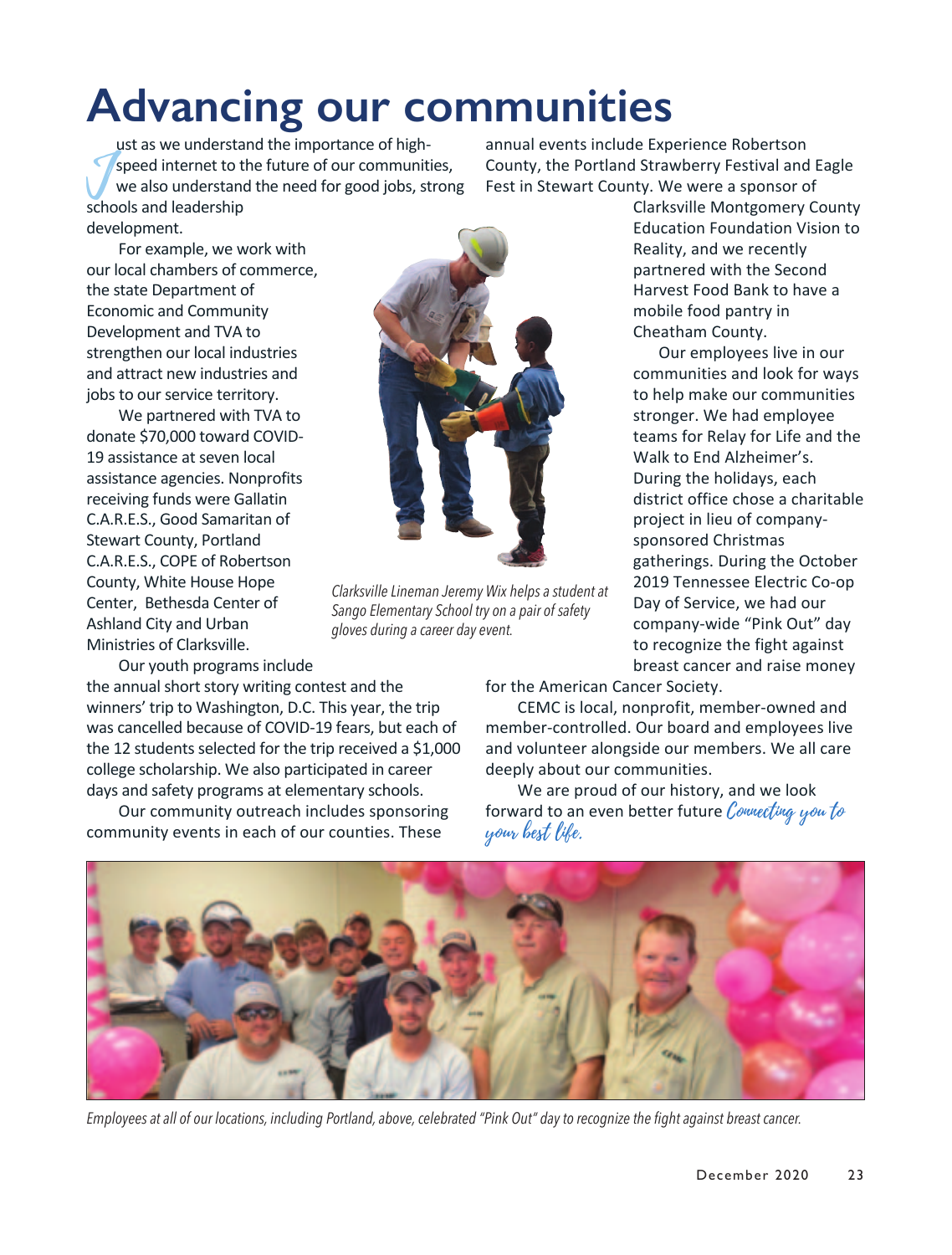## **Advancing our communities**

speed internet to t<br>
we also understan<br>
schools and leadership ust as we understand the importance of highspeed internet to the future of our communities, we also understand the need for good jobs, strong development.

annual events include Experience Robertson County, the Portland Strawberry Festival and Eagle Fest in Stewart County. We were a sponsor of

For example, we work with our local chambers of commerce, the state Department of Economic and Community Development and TVA to strengthen our local industries and attract new industries and jobs to our service territory.

We partnered with TVA to donate \$70,000 toward COVID‐ 19 assistance at seven local assistance agencies. Nonprofits receiving funds were Gallatin C.A.R.E.S., Good Samaritan of Stewart County, Portland C.A.R.E.S., COPE of Robertson County, White House Hope Center, Bethesda Center of Ashland City and Urban Ministries of Clarksville.

Our youth programs include

the annual short story writing contest and the winners' trip to Washington, D.C. This year, the trip was cancelled because of COVID‐19 fears, but each of the 12 students selected for the trip received a \$1,000 college scholarship. We also participated in career days and safety programs at elementary schools.

Our community outreach includes sponsoring community events in each of our counties. These



*Clarksville Lineman Jeremy Wix helps a student at Sango Elementary School try on a pair of safety gloves during a career day event.*

Clarksville Montgomery County Education Foundation Vision to Reality, and we recently partnered with the Second Harvest Food Bank to have a mobile food pantry in Cheatham County.

Our employees live in our communities and look for ways to help make our communities stronger. We had employee teams for Relay for Life and the Walk to End Alzheimer's. During the holidays, each district office chose a charitable project in lieu of company‐ sponsored Christmas gatherings. During the October 2019 Tennessee Electric Co‐op Day of Service, we had our company‐wide "Pink Out" day to recognize the fight against breast cancer and raise money

for the American Cancer Society.

CEMC is local, nonprofit, member‐owned and member‐controlled. Our board and employees live and volunteer alongside our members. We all care deeply about our communities.

We are proud of our history, and we look forward to an even better future Connecting you to your best life.



*Employees at all of our locations, including Portland, above, celebrated "Pink Out" day to recognize the fight against breast cancer.*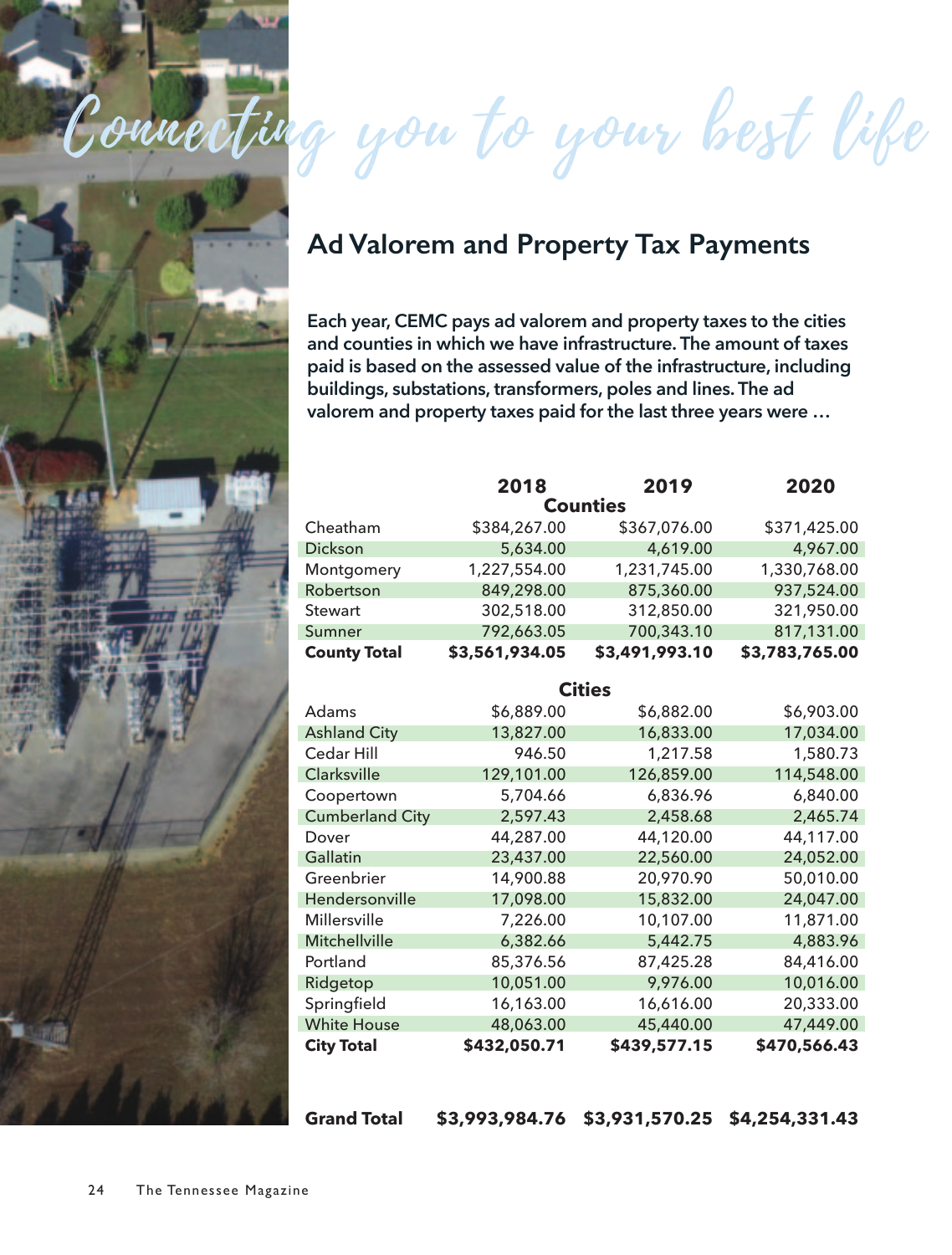

Connecting you to your best life

### **Ad Valorem and Property Tax Payments**

**Each year, CEMC pays ad valorem and property taxes to the cities and counties in which we have infrastructure. The amount of taxes paid is based on the assessed value of the infrastructure, including buildings, substations, transformers, poles and lines. The ad valorem and property taxes paid for the last three years were …**

|                        | 2018           | 2019           | 2020           |  |  |  |  |
|------------------------|----------------|----------------|----------------|--|--|--|--|
| <b>Counties</b>        |                |                |                |  |  |  |  |
| Cheatham               | \$384,267.00   | \$367,076.00   | \$371,425.00   |  |  |  |  |
| Dickson                | 5,634.00       | 4,619.00       | 4,967.00       |  |  |  |  |
| Montgomery             | 1,227,554.00   | 1,231,745.00   | 1,330,768.00   |  |  |  |  |
| Robertson              | 849,298.00     | 875,360.00     | 937,524.00     |  |  |  |  |
| Stewart                | 302,518.00     | 312,850.00     | 321,950.00     |  |  |  |  |
| Sumner                 | 792,663.05     | 700,343.10     | 817,131.00     |  |  |  |  |
| <b>County Total</b>    | \$3,561,934.05 | \$3,491,993.10 | \$3,783,765.00 |  |  |  |  |
| <b>Cities</b>          |                |                |                |  |  |  |  |
|                        |                |                |                |  |  |  |  |
| Adams                  | \$6,889.00     | \$6,882.00     | \$6,903.00     |  |  |  |  |
| <b>Ashland City</b>    | 13,827.00      | 16,833.00      | 17,034.00      |  |  |  |  |
| Cedar Hill             | 946.50         | 1,217.58       | 1,580.73       |  |  |  |  |
| Clarksville            | 129,101.00     | 126,859.00     | 114,548.00     |  |  |  |  |
| Coopertown             | 5,704.66       | 6,836.96       | 6,840.00       |  |  |  |  |
| <b>Cumberland City</b> | 2,597.43       | 2,458.68       | 2,465.74       |  |  |  |  |
| Dover                  | 44,287.00      | 44,120.00      | 44,117.00      |  |  |  |  |
| Gallatin               | 23,437.00      | 22,560.00      | 24,052.00      |  |  |  |  |
| Greenbrier             | 14,900.88      | 20,970.90      | 50,010.00      |  |  |  |  |
| Hendersonville         | 17,098.00      | 15,832.00      | 24,047.00      |  |  |  |  |
| Millersville           | 7,226.00       | 10,107.00      | 11,871.00      |  |  |  |  |
| Mitchellville          | 6,382.66       | 5,442.75       | 4,883.96       |  |  |  |  |
| Portland               | 85,376.56      | 87,425.28      | 84,416.00      |  |  |  |  |
| Ridgetop               | 10,051.00      | 9,976.00       | 10,016.00      |  |  |  |  |
| Springfield            | 16,163.00      | 16,616.00      | 20,333.00      |  |  |  |  |
| <b>White House</b>     | 48,063.00      | 45,440.00      | 47,449.00      |  |  |  |  |
| <b>City Total</b>      | \$432,050.71   | \$439,577.15   | \$470,566.43   |  |  |  |  |

**Grand Total \$3,993,984.76 \$3,931,570.25 \$4,254,331.43**